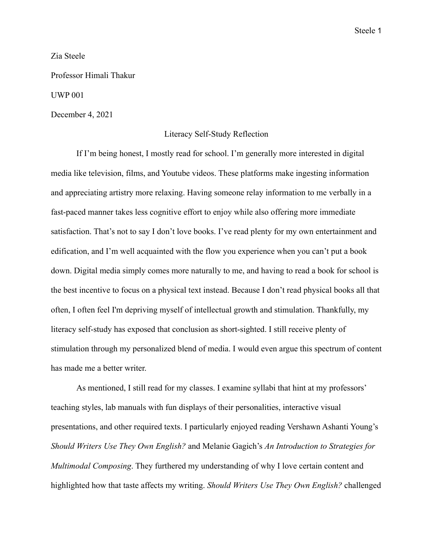Steele 1

Zia Steele

Professor Himali Thakur

UWP 001

December 4, 2021

## Literacy Self-Study Reflection

If I'm being honest, I mostly read for school. I'm generally more interested in digital media like television, films, and Youtube videos. These platforms make ingesting information and appreciating artistry more relaxing. Having someone relay information to me verbally in a fast-paced manner takes less cognitive effort to enjoy while also offering more immediate satisfaction. That's not to say I don't love books. I've read plenty for my own entertainment and edification, and I'm well acquainted with the flow you experience when you can't put a book down. Digital media simply comes more naturally to me, and having to read a book for school is the best incentive to focus on a physical text instead. Because I don't read physical books all that often, I often feel I'm depriving myself of intellectual growth and stimulation. Thankfully, my literacy self-study has exposed that conclusion as short-sighted. I still receive plenty of stimulation through my personalized blend of media. I would even argue this spectrum of content has made me a better writer.

As mentioned, I still read for my classes. I examine syllabi that hint at my professors' teaching styles, lab manuals with fun displays of their personalities, interactive visual presentations, and other required texts. I particularly enjoyed reading Vershawn Ashanti Young's *Should Writers Use They Own English?* and Melanie Gagich's *An Introduction to Strategies for Multimodal Composing*. They furthered my understanding of why I love certain content and highlighted how that taste affects my writing. *Should Writers Use They Own English?* challenged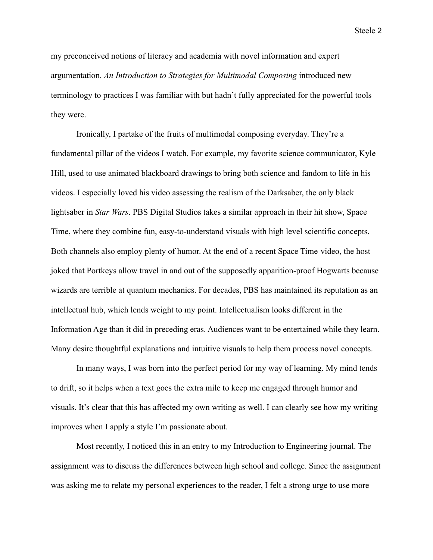Steele 2

my preconceived notions of literacy and academia with novel information and expert argumentation. *An Introduction to Strategies for Multimodal Composing* introduced new terminology to practices I was familiar with but hadn't fully appreciated for the powerful tools they were.

Ironically, I partake of the fruits of multimodal composing everyday. They're a fundamental pillar of the videos I watch. For example, my favorite science communicator, Kyle Hill, used to use animated blackboard drawings to bring both science and fandom to life in his videos. I especially loved his video assessing the realism of the Darksaber, the only black lightsaber in *Star Wars*. PBS Digital Studios takes a similar approach in their hit show, Space Time, where they combine fun, easy-to-understand visuals with high level scientific concepts. Both channels also employ plenty of humor. At the end of a recent Space Time video, the host joked that Portkeys allow travel in and out of the supposedly apparition-proof Hogwarts because wizards are terrible at quantum mechanics. For decades, PBS has maintained its reputation as an intellectual hub, which lends weight to my point. Intellectualism looks different in the Information Age than it did in preceding eras. Audiences want to be entertained while they learn. Many desire thoughtful explanations and intuitive visuals to help them process novel concepts.

In many ways, I was born into the perfect period for my way of learning. My mind tends to drift, so it helps when a text goes the extra mile to keep me engaged through humor and visuals. It's clear that this has affected my own writing as well. I can clearly see how my writing improves when I apply a style I'm passionate about.

Most recently, I noticed this in an entry to my Introduction to Engineering journal. The assignment was to discuss the differences between high school and college. Since the assignment was asking me to relate my personal experiences to the reader, I felt a strong urge to use more